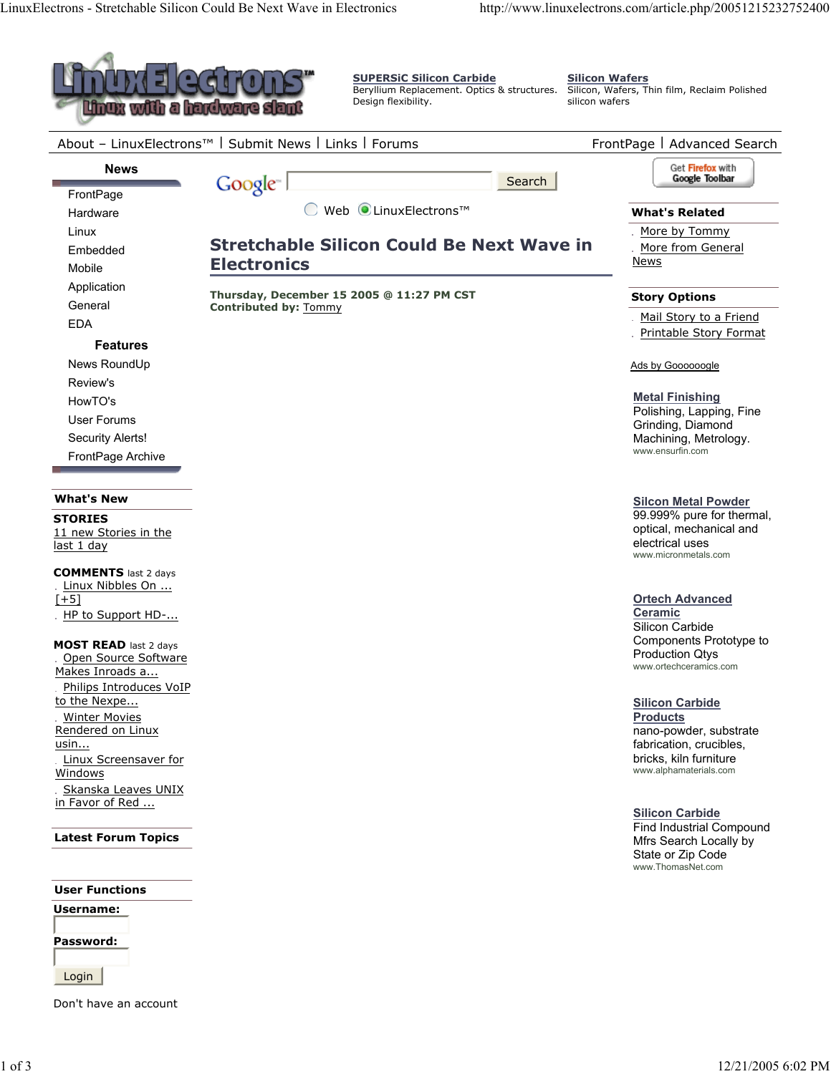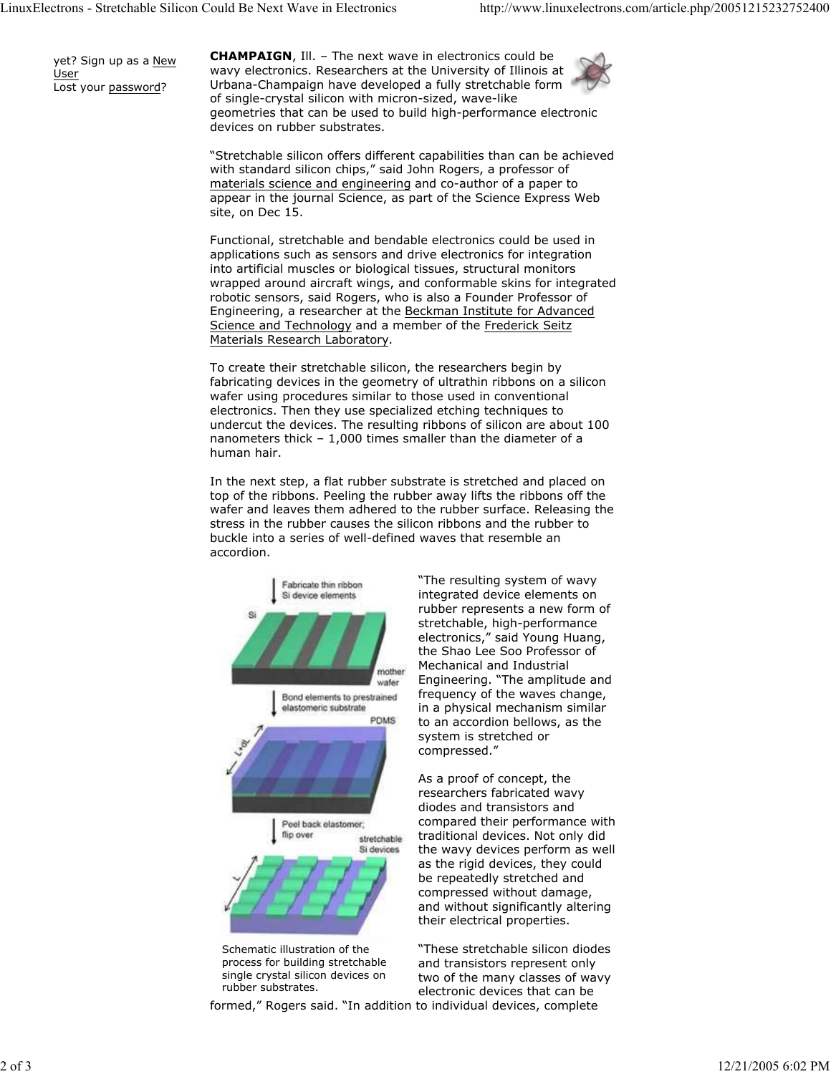yet? Sign up as a New User Lost your password?

**CHAMPAIGN**, Ill. – The next wave in electronics could be wavy electronics. Researchers at the University of Illinois at Urbana-Champaign have developed a fully stretchable form of single-crystal silicon with micron-sized, wave-like geometries that can be used to build high-performance electronic devices on rubber substrates.

"Stretchable silicon offers different capabilities than can be achieved with standard silicon chips," said John Rogers, a professor of materials science and engineering and co-author of a paper to appear in the journal Science, as part of the Science Express Web site, on Dec 15.

Functional, stretchable and bendable electronics could be used in applications such as sensors and drive electronics for integration into artificial muscles or biological tissues, structural monitors wrapped around aircraft wings, and conformable skins for integrated robotic sensors, said Rogers, who is also a Founder Professor of Engineering, a researcher at the Beckman Institute for Advanced Science and Technology and a member of the Frederick Seitz Materials Research Laboratory.

To create their stretchable silicon, the researchers begin by fabricating devices in the geometry of ultrathin ribbons on a silicon wafer using procedures similar to those used in conventional electronics. Then they use specialized etching techniques to undercut the devices. The resulting ribbons of silicon are about 100 nanometers thick – 1,000 times smaller than the diameter of a human hair.

In the next step, a flat rubber substrate is stretched and placed on top of the ribbons. Peeling the rubber away lifts the ribbons off the wafer and leaves them adhered to the rubber surface. Releasing the stress in the rubber causes the silicon ribbons and the rubber to buckle into a series of well-defined waves that resemble an accordion.



process for building stretchable single crystal silicon devices on rubber substrates.

formed," Rogers said. "In addition to individual devices, complete

"The resulting system of wavy integrated device elements on rubber represents a new form of stretchable, high-performance electronics," said Young Huang, the Shao Lee Soo Professor of Mechanical and Industrial Engineering. "The amplitude and frequency of the waves change, in a physical mechanism similar to an accordion bellows, as the system is stretched or compressed."

As a proof of concept, the researchers fabricated wavy diodes and transistors and compared their performance with traditional devices. Not only did the wavy devices perform as well as the rigid devices, they could be repeatedly stretched and compressed without damage, and without significantly altering their electrical properties.

"These stretchable silicon diodes and transistors represent only two of the many classes of wavy electronic devices that can be